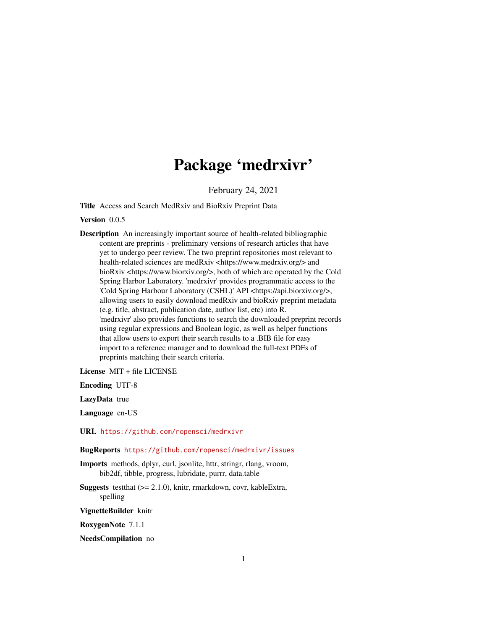## Package 'medrxivr'

February 24, 2021

Title Access and Search MedRxiv and BioRxiv Preprint Data

Version 0.0.5

Description An increasingly important source of health-related bibliographic content are preprints - preliminary versions of research articles that have yet to undergo peer review. The two preprint repositories most relevant to health-related sciences are medRxiv <https://www.medrxiv.org/> and bioRxiv <https://www.biorxiv.org/>, both of which are operated by the Cold Spring Harbor Laboratory. 'medrxivr' provides programmatic access to the 'Cold Spring Harbour Laboratory (CSHL)' API <https://api.biorxiv.org/>, allowing users to easily download medRxiv and bioRxiv preprint metadata (e.g. title, abstract, publication date, author list, etc) into R. 'medrxivr' also provides functions to search the downloaded preprint records using regular expressions and Boolean logic, as well as helper functions that allow users to export their search results to a .BIB file for easy import to a reference manager and to download the full-text PDFs of preprints matching their search criteria.

License MIT + file LICENSE

Encoding UTF-8

LazyData true

Language en-US

URL <https://github.com/ropensci/medrxivr>

BugReports <https://github.com/ropensci/medrxivr/issues>

Imports methods, dplyr, curl, jsonlite, httr, stringr, rlang, vroom, bib2df, tibble, progress, lubridate, purrr, data.table

**Suggests** test that  $(>= 2.1.0)$ , knitr, rmarkdown, covr, kable Extra, spelling

VignetteBuilder knitr

RoxygenNote 7.1.1

NeedsCompilation no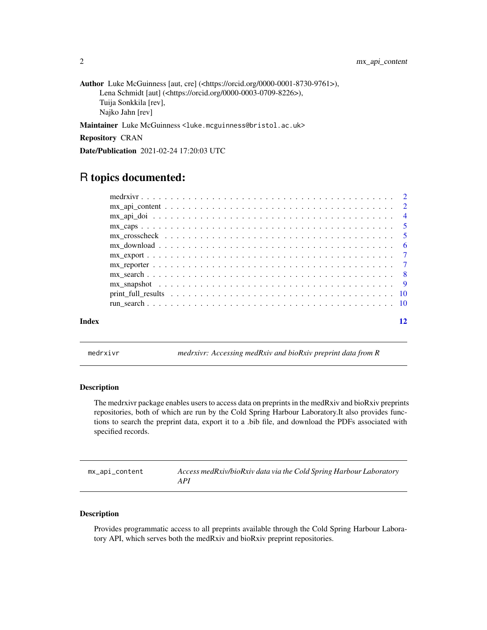<span id="page-1-0"></span>Author Luke McGuinness [aut, cre] (<https://orcid.org/0000-0001-8730-9761>), Lena Schmidt [aut] (<https://orcid.org/0000-0003-0709-8226>), Tuija Sonkkila [rev], Najko Jahn [rev]

Maintainer Luke McGuinness <luke.mcguinness@bristol.ac.uk>

Repository CRAN

Date/Publication 2021-02-24 17:20:03 UTC

### R topics documented:

| Index |  |
|-------|--|

medrxivr *medrxivr: Accessing medRxiv and bioRxiv preprint data from R*

#### Description

The medrxivr package enables users to access data on preprints in the medRxiv and bioRxiv preprints repositories, both of which are run by the Cold Spring Harbour Laboratory.It also provides functions to search the preprint data, export it to a .bib file, and download the PDFs associated with specified records.

<span id="page-1-1"></span>

| mx_api_content | Access medRxiv/bioRxiv data via the Cold Spring Harbour Laboratory |
|----------------|--------------------------------------------------------------------|
|                | API                                                                |

#### Description

Provides programmatic access to all preprints available through the Cold Spring Harbour Laboratory API, which serves both the medRxiv and bioRxiv preprint repositories.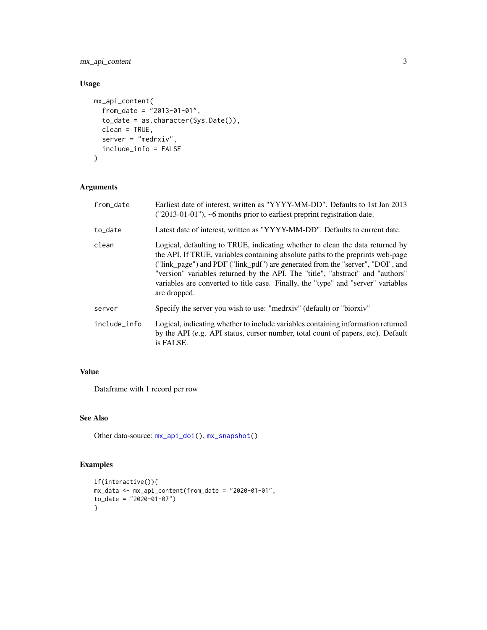<span id="page-2-0"></span>mx\_api\_content 3

#### Usage

```
mx_api_content(
  from_date = "2013-01-01",
  to_date = as.character(Sys.Date()),
  clean = TRUE,
  server = "medrxiv",
  include_info = FALSE
\mathcal{L}
```
#### Arguments

| $("2013-01-01")$ , ~6 months prior to earliest preprint registration date.                                                                                                                                                                                                                                                                                                                                                                |
|-------------------------------------------------------------------------------------------------------------------------------------------------------------------------------------------------------------------------------------------------------------------------------------------------------------------------------------------------------------------------------------------------------------------------------------------|
| Latest date of interest, written as "YYYY-MM-DD". Defaults to current date.                                                                                                                                                                                                                                                                                                                                                               |
| Logical, defaulting to TRUE, indicating whether to clean the data returned by<br>the API. If TRUE, variables containing absolute paths to the preprints web-page<br>("link_page") and PDF ("link_pdf") are generated from the "server", "DOI", and<br>"version" variables returned by the API. The "title", "abstract" and "authors"<br>variables are converted to title case. Finally, the "type" and "server" variables<br>are dropped. |
| Specify the server you wish to use: "medrativ" (default) or "biorxiv"                                                                                                                                                                                                                                                                                                                                                                     |
| Logical, indicating whether to include variables containing information returned<br>by the API (e.g. API status, cursor number, total count of papers, etc). Default<br>is FALSE.                                                                                                                                                                                                                                                         |
|                                                                                                                                                                                                                                                                                                                                                                                                                                           |

#### Value

Dataframe with 1 record per row

#### See Also

Other data-source: [mx\\_api\\_doi\(](#page-3-1)), [mx\\_snapshot\(](#page-8-1))

#### Examples

```
if(interactive()){
mx_data < -mx_api_count(intfrom_data = "2020-01-01",to_date = "2020-01-07")
}
```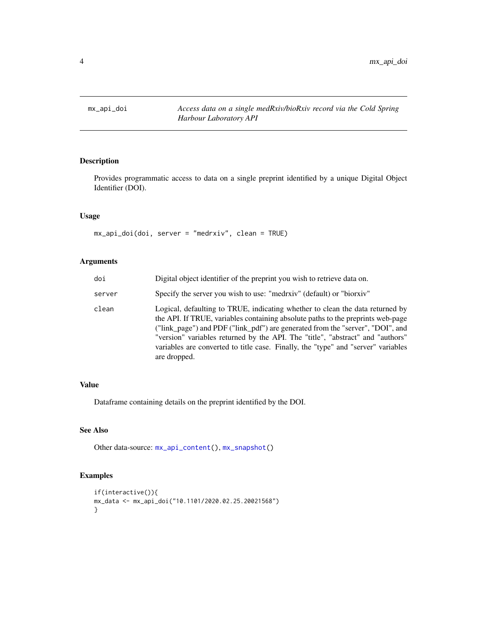<span id="page-3-1"></span><span id="page-3-0"></span>

#### Description

Provides programmatic access to data on a single preprint identified by a unique Digital Object Identifier (DOI).

#### Usage

mx\_api\_doi(doi, server = "medrxiv", clean = TRUE)

#### Arguments

| doi    | Digital object identifier of the preprint you wish to retrieve data on.                                                                                                                                                                                                                                                                                                                                                                   |
|--------|-------------------------------------------------------------------------------------------------------------------------------------------------------------------------------------------------------------------------------------------------------------------------------------------------------------------------------------------------------------------------------------------------------------------------------------------|
| server | Specify the server you wish to use: "medrativ" (default) or "biorxiv"                                                                                                                                                                                                                                                                                                                                                                     |
| clean  | Logical, defaulting to TRUE, indicating whether to clean the data returned by<br>the API. If TRUE, variables containing absolute paths to the preprints web-page<br>("link_page") and PDF ("link_pdf") are generated from the "server", "DOI", and<br>"version" variables returned by the API. The "title", "abstract" and "authors"<br>variables are converted to title case. Finally, the "type" and "server" variables<br>are dropped. |

#### Value

Dataframe containing details on the preprint identified by the DOI.

#### See Also

Other data-source: [mx\\_api\\_content\(](#page-1-1)), [mx\\_snapshot\(](#page-8-1))

#### Examples

```
if(interactive()){
mx_data <- mx_api_doi("10.1101/2020.02.25.20021568")
}
```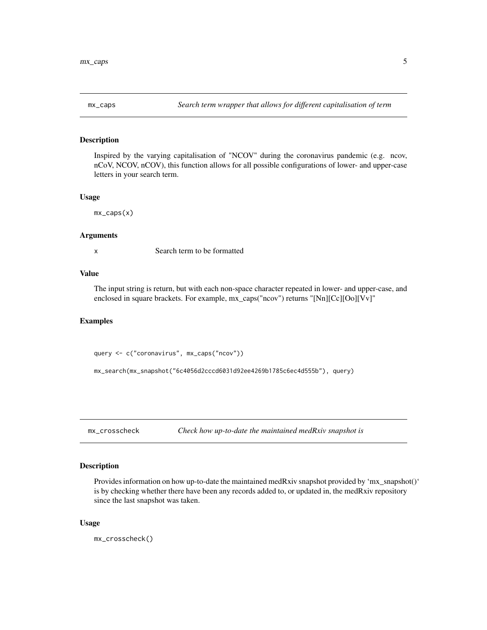<span id="page-4-0"></span>

#### Description

Inspired by the varying capitalisation of "NCOV" during the coronavirus pandemic (e.g. ncov, nCoV, NCOV, nCOV), this function allows for all possible configurations of lower- and upper-case letters in your search term.

#### Usage

mx\_caps(x)

#### Arguments

x Search term to be formatted

#### Value

The input string is return, but with each non-space character repeated in lower- and upper-case, and enclosed in square brackets. For example, mx\_caps("ncov") returns "[Nn][Cc][Oo][Vv]"

#### Examples

query <- c("coronavirus", mx\_caps("ncov"))

```
mx_search(mx_snapshot("6c4056d2cccd6031d92ee4269b1785c6ec4d555b"), query)
```
<span id="page-4-1"></span>mx\_crosscheck *Check how up-to-date the maintained medRxiv snapshot is*

#### Description

Provides information on how up-to-date the maintained medRxiv snapshot provided by 'mx\_snapshot()' is by checking whether there have been any records added to, or updated in, the medRxiv repository since the last snapshot was taken.

#### Usage

mx\_crosscheck()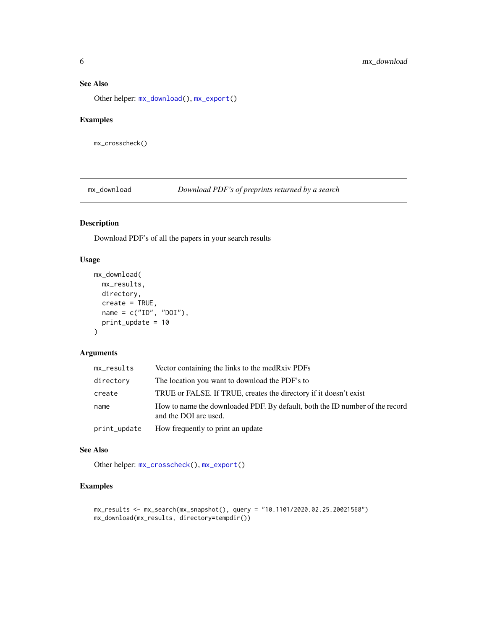#### <span id="page-5-0"></span>See Also

Other helper: [mx\\_download\(](#page-5-1)), [mx\\_export\(](#page-6-1))

#### Examples

mx\_crosscheck()

<span id="page-5-1"></span>mx\_download *Download PDF's of preprints returned by a search*

#### Description

Download PDF's of all the papers in your search results

#### Usage

```
mx_download(
  mx_results,
  directory,
  create = TRUE,
  name = c("ID", "DOI"),print_update = 10
\mathcal{L}
```
#### Arguments

| mx_results   | Vector containing the links to the medRxiv PDFs                                                       |
|--------------|-------------------------------------------------------------------------------------------------------|
| directory    | The location you want to download the PDF's to                                                        |
| create       | TRUE or FALSE. If TRUE, creates the directory if it doesn't exist                                     |
| name         | How to name the downloaded PDF. By default, both the ID number of the record<br>and the DOI are used. |
| print_update | How frequently to print an update                                                                     |

#### See Also

Other helper: [mx\\_crosscheck\(](#page-4-1)), [mx\\_export\(](#page-6-1))

#### Examples

```
mx_results <- mx_search(mx_snapshot(), query = "10.1101/2020.02.25.20021568")
mx_download(mx_results, directory=tempdir())
```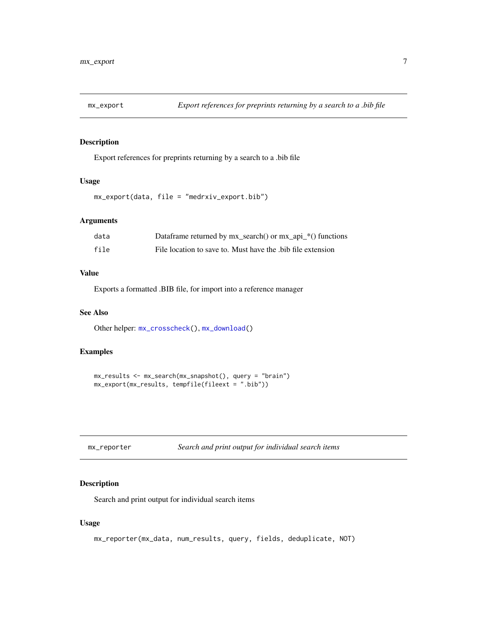<span id="page-6-1"></span><span id="page-6-0"></span>

#### Description

Export references for preprints returning by a search to a .bib file

#### Usage

mx\_export(data, file = "medrxiv\_export.bib")

#### Arguments

| data | Dataframe returned by mx_search() or mx_api_*() functions  |
|------|------------------------------------------------------------|
| file | File location to save to. Must have the bib file extension |

#### Value

Exports a formatted .BIB file, for import into a reference manager

#### See Also

Other helper: [mx\\_crosscheck\(](#page-4-1)), [mx\\_download\(](#page-5-1))

#### Examples

```
mx_results <- mx_search(mx_snapshot(), query = "brain")
mx_export(mx_results, tempfile(fileext = ".bib"))
```
<span id="page-6-2"></span>

| mx_reporter | Search and print output for individual search items |
|-------------|-----------------------------------------------------|
|-------------|-----------------------------------------------------|

#### Description

Search and print output for individual search items

#### Usage

```
mx_reporter(mx_data, num_results, query, fields, deduplicate, NOT)
```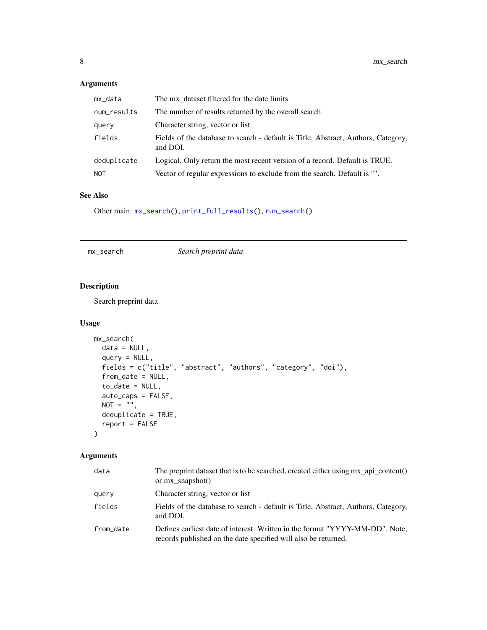#### <span id="page-7-0"></span>Arguments

| mx_data     | The mx dataset filtered for the date limits                                                   |
|-------------|-----------------------------------------------------------------------------------------------|
| num_results | The number of results returned by the overall search                                          |
| query       | Character string, vector or list                                                              |
| fields      | Fields of the database to search - default is Title, Abstract, Authors, Category,<br>and DOI. |
| deduplicate | Logical. Only return the most recent version of a record. Default is TRUE.                    |
| <b>NOT</b>  | Vector of regular expressions to exclude from the search. Default is "".                      |

#### See Also

Other main: [mx\\_search\(](#page-7-1)), [print\\_full\\_results\(](#page-9-1)), [run\\_search\(](#page-9-2))

<span id="page-7-1"></span>mx\_search *Search preprint data*

#### Description

Search preprint data

#### Usage

```
mx_search(
  data = NULL,
  query = NULL,
  fields = c("title", "abstract", "authors", "category", "doi"),
  from_date = NULL,
  to_date = NULL,
  auto_caps = FALSE,
  NOT = ",
  deduplicate = TRUE,
  report = FALSE\mathcal{L}
```
#### Arguments

| data      | The preprint dataset that is to be searched, created either using $mx$ api_content()<br>or $mx$ _snapshot()                                    |
|-----------|------------------------------------------------------------------------------------------------------------------------------------------------|
| query     | Character string, vector or list                                                                                                               |
| fields    | Fields of the database to search - default is Title, Abstract, Authors, Category,<br>and DOI.                                                  |
| from date | Defines earliest date of interest. Written in the format "YYYY-MM-DD". Note,<br>records published on the date specified will also be returned. |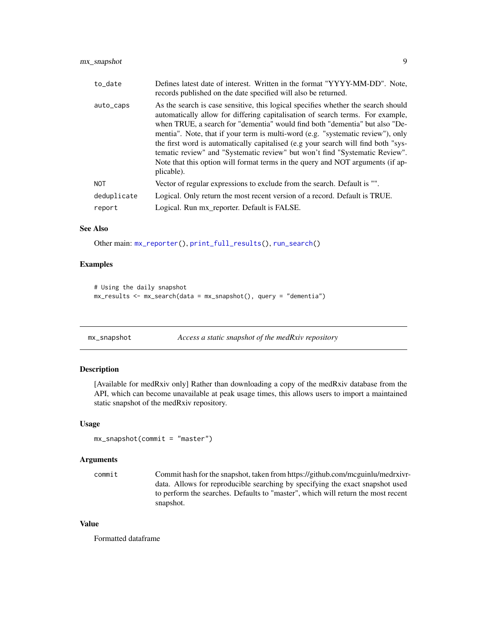<span id="page-8-0"></span>

| to_date     | Defines latest date of interest. Written in the format "YYYY-MM-DD". Note,<br>records published on the date specified will also be returned.                                                                                                                                                                                                                                                                                                                                                                                                                                                              |
|-------------|-----------------------------------------------------------------------------------------------------------------------------------------------------------------------------------------------------------------------------------------------------------------------------------------------------------------------------------------------------------------------------------------------------------------------------------------------------------------------------------------------------------------------------------------------------------------------------------------------------------|
| auto_caps   | As the search is case sensitive, this logical specifies whether the search should<br>automatically allow for differing capitalisation of search terms. For example,<br>when TRUE, a search for "dementia" would find both "dementia" but also "De-<br>mentia". Note, that if your term is multi-word (e.g. "systematic review"), only<br>the first word is automatically capitalised (e.g your search will find both "sys-<br>tematic review" and "Systematic review" but won't find "Systematic Review".<br>Note that this option will format terms in the query and NOT arguments (if ap-<br>plicable). |
| <b>NOT</b>  | Vector of regular expressions to exclude from the search. Default is "".                                                                                                                                                                                                                                                                                                                                                                                                                                                                                                                                  |
| deduplicate | Logical. Only return the most recent version of a record. Default is TRUE.                                                                                                                                                                                                                                                                                                                                                                                                                                                                                                                                |
| report      | Logical. Run mx_reporter. Default is FALSE.                                                                                                                                                                                                                                                                                                                                                                                                                                                                                                                                                               |
|             |                                                                                                                                                                                                                                                                                                                                                                                                                                                                                                                                                                                                           |

#### See Also

Other main: [mx\\_reporter\(](#page-6-2)), [print\\_full\\_results\(](#page-9-1)), [run\\_search\(](#page-9-2))

#### Examples

```
# Using the daily snapshot
mx\_results \leq mx\_search(data = mx\_snapshot(), query = "dematic")
```
<span id="page-8-1"></span>

| mx_snapshot | Access a static snapshot of the medRxiv repository |  |
|-------------|----------------------------------------------------|--|
|             |                                                    |  |

#### Description

[Available for medRxiv only] Rather than downloading a copy of the medRxiv database from the API, which can become unavailable at peak usage times, this allows users to import a maintained static snapshot of the medRxiv repository.

#### Usage

```
mx_snapshot(commit = "master")
```
#### Arguments

commit Commit hash for the snapshot, taken from https://github.com/mcguinlu/medrxivrdata. Allows for reproducible searching by specifying the exact snapshot used to perform the searches. Defaults to "master", which will return the most recent snapshot.

#### Value

Formatted dataframe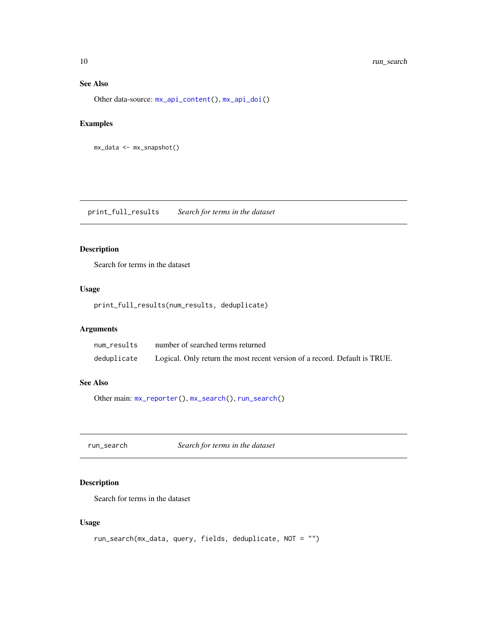#### See Also

Other data-source: [mx\\_api\\_content\(](#page-1-1)), [mx\\_api\\_doi\(](#page-3-1))

#### Examples

```
mx_data <- mx_snapshot()
```
<span id="page-9-1"></span>print\_full\_results *Search for terms in the dataset*

#### Description

Search for terms in the dataset

#### Usage

```
print_full_results(num_results, deduplicate)
```
#### Arguments

| num results | number of searched terms returned                                          |
|-------------|----------------------------------------------------------------------------|
| deduplicate | Logical. Only return the most recent version of a record. Default is TRUE. |

#### See Also

Other main: [mx\\_reporter\(](#page-6-2)), [mx\\_search\(](#page-7-1)), [run\\_search\(](#page-9-2))

<span id="page-9-2"></span>run\_search *Search for terms in the dataset*

#### Description

Search for terms in the dataset

#### Usage

```
run_search(mx_data, query, fields, deduplicate, NOT = "")
```
<span id="page-9-0"></span>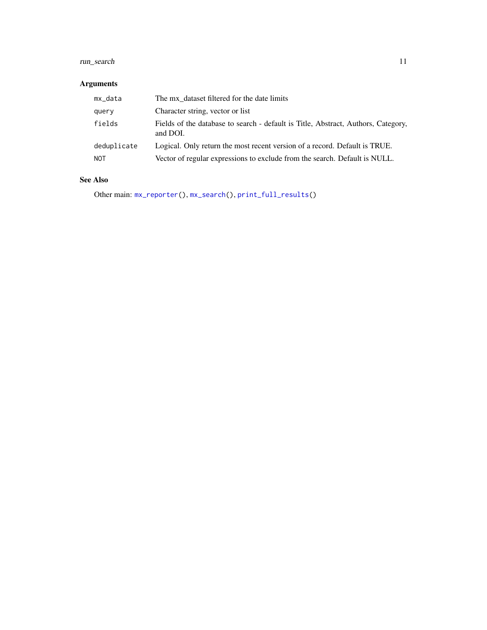#### <span id="page-10-0"></span>run\_search 11

#### Arguments

| mx_data     | The mx dataset filtered for the date limits                                                   |
|-------------|-----------------------------------------------------------------------------------------------|
| query       | Character string, vector or list                                                              |
| fields      | Fields of the database to search - default is Title, Abstract, Authors, Category,<br>and DOI. |
| deduplicate | Logical. Only return the most recent version of a record. Default is TRUE.                    |
| <b>NOT</b>  | Vector of regular expressions to exclude from the search. Default is NULL.                    |

#### See Also

Other main: [mx\\_reporter\(](#page-6-2)), [mx\\_search\(](#page-7-1)), [print\\_full\\_results\(](#page-9-1))